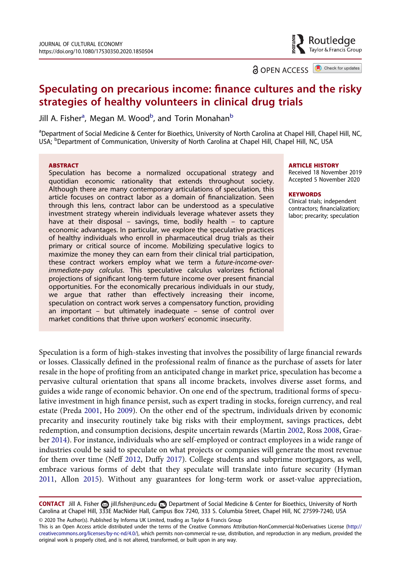## Routledge Taylor & Francis Group

**a** OPEN ACCESS **a** Check for updates

# Speculating on precarious income: finance cultures and the risky strategies of healthy volunteers in clinical drug trials

Jill A. Fisher<sup>a</sup>, Megan M. Wood<sup>b</sup>, and Torin Monahan<sup>b</sup>

<sup>a</sup>Department of Social Medicine & Center for Bioethics, University of North Carolina at Chapel Hill, Chapel Hill, NC, USA; <sup>b</sup>Department of Communication, University of North Carolina at Chapel Hill, Chapel Hill, NC, USA

#### **ARSTRACT**

Speculation has become a normalized occupational strategy and quotidian economic rationality that extends throughout society. Although there are many contemporary articulations of speculation, this article focuses on contract labor as a domain of financialization. Seen through this lens, contract labor can be understood as a speculative investment strategy wherein individuals leverage whatever assets they have at their disposal – savings, time, bodily health – to capture economic advantages. In particular, we explore the speculative practices of healthy individuals who enroll in pharmaceutical drug trials as their primary or critical source of income. Mobilizing speculative logics to maximize the money they can earn from their clinical trial participation, these contract workers employ what we term a future-income-overimmediate-pay calculus. This speculative calculus valorizes fictional projections of significant long-term future income over present financial opportunities. For the economically precarious individuals in our study, we argue that rather than effectively increasing their income, speculation on contract work serves a compensatory function, providing an important – but ultimately inadequate – sense of control over market conditions that thrive upon workers' economic insecurity.

#### ARTICLE HISTORY

Received 18 November 2019 Accepted 5 November 2020

#### **KEYWORDS**

Clinical trials; independent contractors; financialization; labor; precarity; speculation

<span id="page-0-5"></span><span id="page-0-3"></span>Speculation is a form of high-stakes investing that involves the possibility of large financial rewards or losses. Classically defined in the professional realm of finance as the purchase of assets for later resale in the hope of profiting from an anticipated change in market price, speculation has become a pervasive cultural orientation that spans all income brackets, involves diverse asset forms, and guides a wide range of economic behavior. On one end of the spectrum, traditional forms of speculative investment in high finance persist, such as expert trading in stocks, foreign currency, and real estate (Preda [2001,](#page-19-0) Ho [2009](#page-19-1)). On the other end of the spectrum, individuals driven by economic precarity and insecurity routinely take big risks with their employment, savings practices, debt redemption, and consumption decisions, despite uncertain rewards (Martin [2002](#page-19-2), Ross [2008,](#page-19-3) Graeber [2014](#page-19-4)). For instance, individuals who are self-employed or contract employees in a wide range of industries could be said to speculate on what projects or companies will generate the most revenue for them over time (Neff [2012](#page-19-5), Duffy [2017](#page-18-0)). College students and subprime mortgagors, as well, embrace various forms of debt that they speculate will translate into future security (Hyman [2011](#page-19-6), Allon [2015\)](#page-18-1). Without any guarantees for long-term work or asset-value appreciation,

<span id="page-0-4"></span><span id="page-0-2"></span><span id="page-0-1"></span><span id="page-0-0"></span>© 2020 The Author(s). Published by Informa UK Limited, trading as Taylor & Francis Group CONTACT Jill A. Fisher a jill.fi[sher@unc.edu](mailto:jill.fisher@unc.edu) Department of Social Medicine & Center for Bioethics, University of North Carolina at Chapel Hill, 333E MacNider Hall, Campus Box 7240, 333 S. Columbia Street, Chapel Hill, NC 27599-7240, USA

This is an Open Access article distributed under the terms of the Creative Commons Attribution-NonCommercial-NoDerivatives License ([http://](http://creativecommons.org/licenses/by-nc-nd/4.0/) [creativecommons.org/licenses/by-nc-nd/4.0/](http://creativecommons.org/licenses/by-nc-nd/4.0/)), which permits non-commercial re-use, distribution, and reproduction in any medium, provided the original work is properly cited, and is not altered, transformed, or built upon in any way.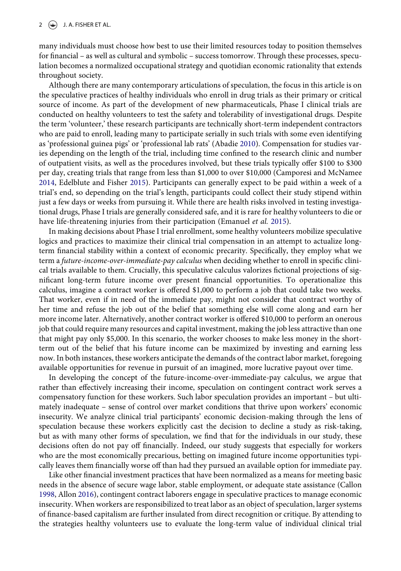many individuals must choose how best to use their limited resources today to position themselves for financial – as well as cultural and symbolic – success tomorrow. Through these processes, speculation becomes a normalized occupational strategy and quotidian economic rationality that extends throughout society.

<span id="page-1-0"></span>Although there are many contemporary articulations of speculation, the focus in this article is on the speculative practices of healthy individuals who enroll in drug trials as their primary or critical source of income. As part of the development of new pharmaceuticals, Phase I clinical trials are conducted on healthy volunteers to test the safety and tolerability of investigational drugs. Despite the term 'volunteer,' these research participants are technically short-term independent contractors who are paid to enroll, leading many to participate serially in such trials with some even identifying as 'professional guinea pigs' or 'professional lab rats' (Abadie [2010](#page-17-0)). Compensation for studies varies depending on the length of the trial, including time confined to the research clinic and number of outpatient visits, as well as the procedures involved, but these trials typically offer \$100 to \$300 per day, creating trials that range from less than \$1,000 to over \$10,000 (Camporesi and McNamee [2014](#page-18-2), Edelblute and Fisher [2015](#page-18-3)). Participants can generally expect to be paid within a week of a trial's end, so depending on the trial's length, participants could collect their study stipend within just a few days or weeks from pursuing it. While there are health risks involved in testing investigational drugs, Phase I trials are generally considered safe, and it is rare for healthy volunteers to die or have life-threatening injuries from their participation (Emanuel et al. [2015](#page-18-4)).

<span id="page-1-5"></span><span id="page-1-4"></span><span id="page-1-3"></span>In making decisions about Phase I trial enrollment, some healthy volunteers mobilize speculative logics and practices to maximize their clinical trial compensation in an attempt to actualize longterm financial stability within a context of economic precarity. Specifically, they employ what we term a future-income-over-immediate-pay calculus when deciding whether to enroll in specific clinical trials available to them. Crucially, this speculative calculus valorizes fictional projections of significant long-term future income over present financial opportunities. To operationalize this calculus, imagine a contract worker is offered \$1,000 to perform a job that could take two weeks. That worker, even if in need of the immediate pay, might not consider that contract worthy of her time and refuse the job out of the belief that something else will come along and earn her more income later. Alternatively, another contract worker is offered \$10,000 to perform an onerous job that could require many resources and capital investment, making the job less attractive than one that might pay only \$5,000. In this scenario, the worker chooses to make less money in the shortterm out of the belief that his future income can be maximized by investing and earning less now. In both instances, these workers anticipate the demands of the contract labor market, foregoing available opportunities for revenue in pursuit of an imagined, more lucrative payout over time.

In developing the concept of the future-income-over-immediate-pay calculus, we argue that rather than effectively increasing their income, speculation on contingent contract work serves a compensatory function for these workers. Such labor speculation provides an important – but ultimately inadequate – sense of control over market conditions that thrive upon workers' economic insecurity. We analyze clinical trial participants' economic decision-making through the lens of speculation because these workers explicitly cast the decision to decline a study as risk-taking, but as with many other forms of speculation, we find that for the individuals in our study, these decisions often do not pay off financially. Indeed, our study suggests that especially for workers who are the most economically precarious, betting on imagined future income opportunities typically leaves them financially worse off than had they pursued an available option for immediate pay.

<span id="page-1-2"></span><span id="page-1-1"></span>Like other financial investment practices that have been normalized as a means for meeting basic needs in the absence of secure wage labor, stable employment, or adequate state assistance (Callon [1998](#page-18-5), Allon [2016](#page-18-6)), contingent contract laborers engage in speculative practices to manage economic insecurity. When workers are responsibilized to treat labor as an object of speculation, larger systems of finance-based capitalism are further insulated from direct recognition or critique. By attending to the strategies healthy volunteers use to evaluate the long-term value of individual clinical trial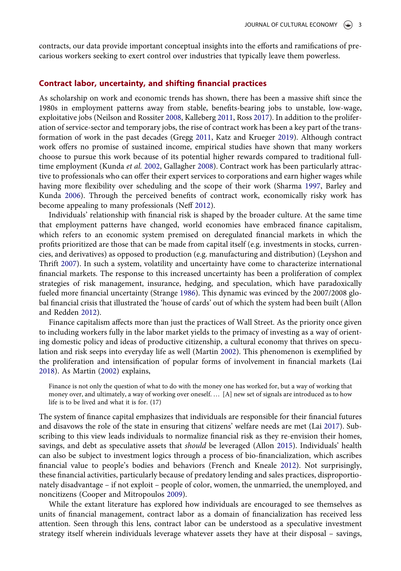contracts, our data provide important conceptual insights into the efforts and ramifications of precarious workers seeking to exert control over industries that typically leave them powerless.

## Contract labor, uncertainty, and shifting financial practices

<span id="page-2-6"></span><span id="page-2-5"></span>As scholarship on work and economic trends has shown, there has been a massive shift since the 1980s in employment patterns away from stable, benefits-bearing jobs to unstable, low-wage, exploitative jobs (Neilson and Rossiter [2008](#page-19-7), Kalleberg [2011,](#page-19-8) Ross [2017](#page-19-9)). In addition to the proliferation of service-sector and temporary jobs, the rise of contract work has been a key part of the transformation of work in the past decades (Gregg [2011](#page-19-10), Katz and Krueger [2019](#page-19-11)). Although contract work offers no promise of sustained income, empirical studies have shown that many workers choose to pursue this work because of its potential higher rewards compared to traditional full-time employment (Kunda et al. [2002,](#page-19-12) Gallagher [2008](#page-19-13)). Contract work has been particularly attractive to professionals who can offer their expert services to corporations and earn higher wages while having more flexibility over scheduling and the scope of their work (Sharma [1997](#page-19-14), Barley and Kunda [2006](#page-18-7)). Through the perceived benefits of contract work, economically risky work has become appealing to many professionals (Neff [2012](#page-19-5)).

<span id="page-2-10"></span><span id="page-2-9"></span><span id="page-2-4"></span><span id="page-2-1"></span>Individuals' relationship with financial risk is shaped by the broader culture. At the same time that employment patterns have changed, world economies have embraced finance capitalism, which refers to an economic system premised on deregulated financial markets in which the profits prioritized are those that can be made from capital itself (e.g. investments in stocks, currencies, and derivatives) as opposed to production (e.g. manufacturing and distribution) (Leyshon and Thrift [2007](#page-19-15)). In such a system, volatility and uncertainty have come to characterize international financial markets. The response to this increased uncertainty has been a proliferation of complex strategies of risk management, insurance, hedging, and speculation, which have paradoxically fueled more financial uncertainty (Strange [1986](#page-20-0)). This dynamic was evinced by the 2007/2008 global financial crisis that illustrated the 'house of cards' out of which the system had been built (Allon and Redden [2012](#page-18-8)).

<span id="page-2-11"></span><span id="page-2-0"></span>Finance capitalism affects more than just the practices of Wall Street. As the priority once given to including workers fully in the labor market yields to the primacy of investing as a way of orienting domestic policy and ideas of productive citizenship, a cultural economy that thrives on speculation and risk seeps into everyday life as well (Martin [2002\)](#page-19-2). This phenomenon is exemplified by the proliferation and intensification of popular forms of involvement in financial markets (Lai [2018](#page-19-16)). As Martin [\(2002](#page-19-2)) explains,

<span id="page-2-8"></span>Finance is not only the question of what to do with the money one has worked for, but a way of working that money over, and ultimately, a way of working over oneself. … [A] new set of signals are introduced as to how life is to be lived and what it is for. (17)

<span id="page-2-7"></span><span id="page-2-3"></span>The system of finance capital emphasizes that individuals are responsible for their financial futures and disavows the role of the state in ensuring that citizens' welfare needs are met (Lai [2017](#page-19-17)). Subscribing to this view leads individuals to normalize financial risk as they re-envision their homes, savings, and debt as speculative assets that should be leveraged (Allon [2015](#page-18-1)). Individuals' health can also be subject to investment logics through a process of bio-financialization, which ascribes financial value to people's bodies and behaviors (French and Kneale [2012](#page-18-9)). Not surprisingly, these financial activities, particularly because of predatory lending and sales practices, disproportionately disadvantage – if not exploit – people of color, women, the unmarried, the unemployed, and noncitizens (Cooper and Mitropoulos [2009\)](#page-18-10).

<span id="page-2-2"></span>While the extant literature has explored how individuals are encouraged to see themselves as units of financial management, contract labor as a domain of financialization has received less attention. Seen through this lens, contract labor can be understood as a speculative investment strategy itself wherein individuals leverage whatever assets they have at their disposal – savings,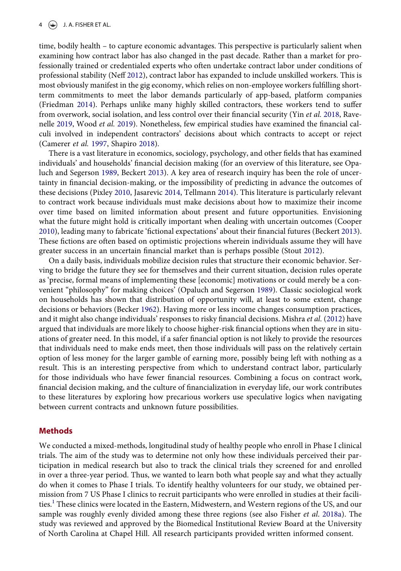#### $4 \quad (*)$  J. A. FISHER ET AL.

<span id="page-3-5"></span>time, bodily health – to capture economic advantages. This perspective is particularly salient when examining how contract labor has also changed in the past decade. Rather than a market for professionally trained or credentialed experts who often undertake contract labor under conditions of professional stability (Neff [2012\)](#page-19-5), contract labor has expanded to include unskilled workers. This is most obviously manifest in the gig economy, which relies on non-employee workers fulfilling shortterm commitments to meet the labor demands particularly of app-based, platform companies (Friedman [2014](#page-18-11)). Perhaps unlike many highly skilled contractors, these workers tend to suffer from overwork, social isolation, and less control over their financial security (Yin et al. [2018](#page-20-1), Ravenelle [2019](#page-19-18), Wood et al. [2019\)](#page-20-2). Nonetheless, few empirical studies have examined the financial calculi involved in independent contractors' decisions about which contracts to accept or reject (Camerer et al. [1997,](#page-18-12) Shapiro [2018](#page-19-19)).

<span id="page-3-11"></span><span id="page-3-9"></span><span id="page-3-6"></span><span id="page-3-2"></span>There is a vast literature in economics, sociology, psychology, and other fields that has examined individuals' and households' financial decision making (for an overview of this literature, see Opaluch and Segerson [1989](#page-19-20), Beckert [2013\)](#page-18-13). A key area of research inquiry has been the role of uncertainty in financial decision-making, or the impossibility of predicting in advance the outcomes of these decisions (Pixley [2010](#page-19-21), Jasarevic [2014,](#page-19-22) Tellmann [2014](#page-20-3)). This literature is particularly relevant to contract work because individuals must make decisions about how to maximize their income over time based on limited information about present and future opportunities. Envisioning what the future might hold is critically important when dealing with uncertain outcomes (Cooper [2010](#page-18-14)), leading many to fabricate 'fictional expectations' about their financial futures (Beckert [2013](#page-18-13)). These fictions are often based on optimistic projections wherein individuals assume they will have greater success in an uncertain financial market than is perhaps possible (Stout [2012](#page-19-23)).

<span id="page-3-10"></span><span id="page-3-8"></span><span id="page-3-7"></span><span id="page-3-3"></span><span id="page-3-1"></span><span id="page-3-0"></span>On a daily basis, individuals mobilize decision rules that structure their economic behavior. Serving to bridge the future they see for themselves and their current situation, decision rules operate as 'precise, formal means of implementing these [economic] motivations or could merely be a convenient "philosophy" for making choices' (Opaluch and Segerson [1989\)](#page-19-20). Classic sociological work on households has shown that distribution of opportunity will, at least to some extent, change decisions or behaviors (Becker [1962\)](#page-18-15). Having more or less income changes consumption practices, and it might also change individuals' responses to risky financial decisions. Mishra et al. ([2012](#page-19-24)) have argued that individuals are more likely to choose higher-risk financial options when they are in situations of greater need. In this model, if a safer financial option is not likely to provide the resources that individuals need to make ends meet, then those individuals will pass on the relatively certain option of less money for the larger gamble of earning more, possibly being left with nothing as a result. This is an interesting perspective from which to understand contract labor, particularly for those individuals who have fewer financial resources. Combining a focus on contract work, financial decision making, and the culture of financialization in everyday life, our work contributes to these literatures by exploring how precarious workers use speculative logics when navigating between current contracts and unknown future possibilities.

## Methods

<span id="page-3-4"></span>We conducted a mixed-methods, longitudinal study of healthy people who enroll in Phase I clinical trials. The aim of the study was to determine not only how these individuals perceived their participation in medical research but also to track the clinical trials they screened for and enrolled in over a three-year period. Thus, we wanted to learn both what people say and what they actually do when it comes to Phase I trials. To identify healthy volunteers for our study, we obtained permission from 7 US Phase I clinics to recruit participants who were enrolled in studies at their facili-ties.<sup>[1](#page-16-0)</sup> These clinics were located in the Eastern, Midwestern, and Western regions of the US, and our sample was roughly evenly divided among these three regions (see also Fisher et al. [2018a](#page-18-16)). The study was reviewed and approved by the Biomedical Institutional Review Board at the University of North Carolina at Chapel Hill. All research participants provided written informed consent.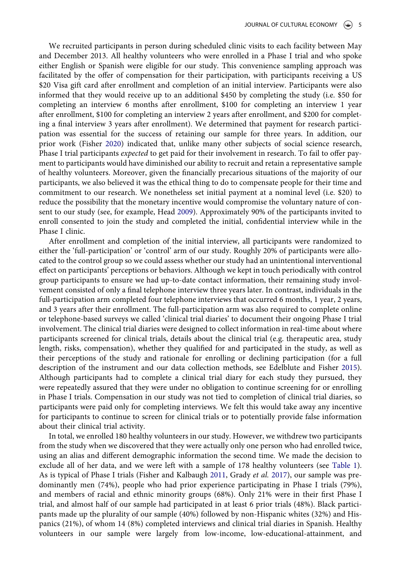<span id="page-4-0"></span>We recruited participants in person during scheduled clinic visits to each facility between May and December 2013. All healthy volunteers who were enrolled in a Phase I trial and who spoke either English or Spanish were eligible for our study. This convenience sampling approach was facilitated by the offer of compensation for their participation, with participants receiving a US \$20 Visa gift card after enrollment and completion of an initial interview. Participants were also informed that they would receive up to an additional \$450 by completing the study (i.e. \$50 for completing an interview 6 months after enrollment, \$100 for completing an interview 1 year after enrollment, \$100 for completing an interview 2 years after enrollment, and \$200 for completing a final interview 3 years after enrollment). We determined that payment for research participation was essential for the success of retaining our sample for three years. In addition, our prior work (Fisher [2020\)](#page-18-17) indicated that, unlike many other subjects of social science research, Phase I trial participants *expected* to get paid for their involvement in research. To fail to offer payment to participants would have diminished our ability to recruit and retain a representative sample of healthy volunteers. Moreover, given the financially precarious situations of the majority of our participants, we also believed it was the ethical thing to do to compensate people for their time and commitment to our research. We nonetheless set initial payment at a nominal level (i.e. \$20) to reduce the possibility that the monetary incentive would compromise the voluntary nature of consent to our study (see, for example, Head [2009](#page-19-25)). Approximately 90% of the participants invited to enroll consented to join the study and completed the initial, confidential interview while in the Phase I clinic.

<span id="page-4-2"></span>After enrollment and completion of the initial interview, all participants were randomized to either the 'full-participation' or 'control' arm of our study. Roughly 20% of participants were allocated to the control group so we could assess whether our study had an unintentional interventional effect on participants' perceptions or behaviors. Although we kept in touch periodically with control group participants to ensure we had up-to-date contact information, their remaining study involvement consisted of only a final telephone interview three years later. In contrast, individuals in the full-participation arm completed four telephone interviews that occurred 6 months, 1 year, 2 years, and 3 years after their enrollment. The full-participation arm was also required to complete online or telephone-based surveys we called 'clinical trial diaries' to document their ongoing Phase I trial involvement. The clinical trial diaries were designed to collect information in real-time about where participants screened for clinical trials, details about the clinical trial (e.g. therapeutic area, study length, risks, compensation), whether they qualified for and participated in the study, as well as their perceptions of the study and rationale for enrolling or declining participation (for a full description of the instrument and our data collection methods, see Edelblute and Fisher [2015](#page-18-3)). Although participants had to complete a clinical trial diary for each study they pursued, they were repeatedly assured that they were under no obligation to continue screening for or enrolling in Phase I trials. Compensation in our study was not tied to completion of clinical trial diaries, so participants were paid only for completing interviews. We felt this would take away any incentive for participants to continue to screen for clinical trials or to potentially provide false information about their clinical trial activity.

<span id="page-4-1"></span>In total, we enrolled 180 healthy volunteers in our study. However, we withdrew two participants from the study when we discovered that they were actually only one person who had enrolled twice, using an alias and different demographic information the second time. We made the decision to exclude all of her data, and we were left with a sample of 178 healthy volunteers (see [Table 1](#page-5-0)). As is typical of Phase I trials (Fisher and Kalbaugh [2011,](#page-18-18) Grady et al. [2017](#page-19-26)), our sample was predominantly men (74%), people who had prior experience participating in Phase I trials (79%), and members of racial and ethnic minority groups (68%). Only 21% were in their first Phase I trial, and almost half of our sample had participated in at least 6 prior trials (48%). Black participants made up the plurality of our sample (40%) followed by non-Hispanic whites (32%) and Hispanics (21%), of whom 14 (8%) completed interviews and clinical trial diaries in Spanish. Healthy volunteers in our sample were largely from low-income, low-educational-attainment, and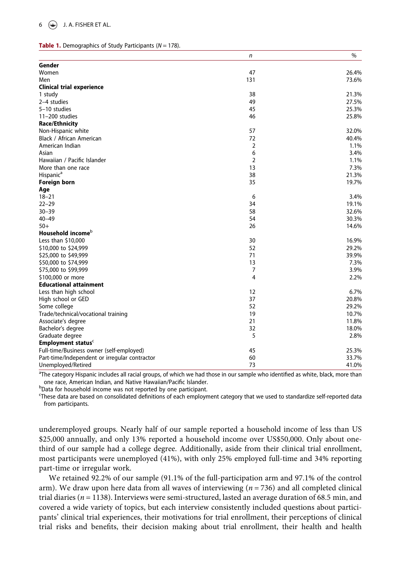#### <span id="page-5-0"></span>**Table 1.** Demographics of Study Participants ( $N = 178$ ).

|                                               | n              | $\%$  |
|-----------------------------------------------|----------------|-------|
| Gender                                        |                |       |
| Women                                         | 47             | 26.4% |
| Men                                           | 131            | 73.6% |
| <b>Clinical trial experience</b>              |                |       |
| 1 study                                       | 38             | 21.3% |
| 2-4 studies                                   | 49             | 27.5% |
| 5-10 studies                                  | 45             | 25.3% |
| $11-200$ studies                              | 46             | 25.8% |
| <b>Race/Ethnicity</b>                         |                |       |
| Non-Hispanic white                            | 57             | 32.0% |
| Black / African American                      | 72             | 40.4% |
| American Indian                               | $\overline{2}$ | 1.1%  |
| Asian                                         | 6              | 3.4%  |
| Hawaiian / Pacific Islander                   | $\overline{2}$ | 1.1%  |
| More than one race                            | 13             | 7.3%  |
| Hispanic <sup>a</sup>                         | 38             | 21.3% |
| <b>Foreign born</b>                           | 35             | 19.7% |
| Age                                           |                |       |
| $18 - 21$                                     | 6              | 3.4%  |
| $22 - 29$                                     | 34             | 19.1% |
| $30 - 39$                                     | 58             | 32.6% |
| $40 - 49$                                     | 54             | 30.3% |
| $50+$                                         | 26             | 14.6% |
| Household income <sup>b</sup>                 |                |       |
| Less than \$10,000                            | 30             | 16.9% |
| \$10,000 to \$24,999                          | 52             | 29.2% |
| \$25,000 to \$49,999                          | 71             | 39.9% |
| \$50,000 to \$74,999                          | 13             | 7.3%  |
| \$75,000 to \$99,999                          | 7              | 3.9%  |
| \$100,000 or more                             | 4              | 2.2%  |
| <b>Educational attainment</b>                 |                |       |
| Less than high school                         | 12             | 6.7%  |
| High school or GED                            | 37             | 20.8% |
| Some college                                  | 52             | 29.2% |
| Trade/technical/vocational training           | 19             | 10.7% |
| Associate's degree                            | 21             | 11.8% |
| Bachelor's degree                             | 32             | 18.0% |
| Graduate degree                               | 5              | 2.8%  |
| <b>Employment status</b> <sup>c</sup>         |                |       |
| Full-time/Business owner (self-employed)      | 45             | 25.3% |
| Part-time/Independent or irregular contractor | 60             | 33.7% |
| Unemployed/Retired                            | 73             | 41.0% |

<sup>a</sup>The category Hispanic includes all racial groups, of which we had those in our sample who identified as white, black, more than one race, American Indian, and Native Hawaiian/Pacific Islander. <sup>b</sup>

bData for household income was not reported by one participant.

c These data are based on consolidated definitions of each employment category that we used to standardize self-reported data from participants.

underemployed groups. Nearly half of our sample reported a household income of less than US \$25,000 annually, and only 13% reported a household income over US\$50,000. Only about onethird of our sample had a college degree. Additionally, aside from their clinical trial enrollment, most participants were unemployed (41%), with only 25% employed full-time and 34% reporting part-time or irregular work.

We retained 92.2% of our sample (91.1% of the full-participation arm and 97.1% of the control arm). We draw upon here data from all waves of interviewing ( $n = 736$ ) and all completed clinical trial diaries ( $n = 1138$ ). Interviews were semi-structured, lasted an average duration of 68.5 min, and covered a wide variety of topics, but each interview consistently included questions about participants' clinical trial experiences, their motivations for trial enrollment, their perceptions of clinical trial risks and benefits, their decision making about trial enrollment, their health and health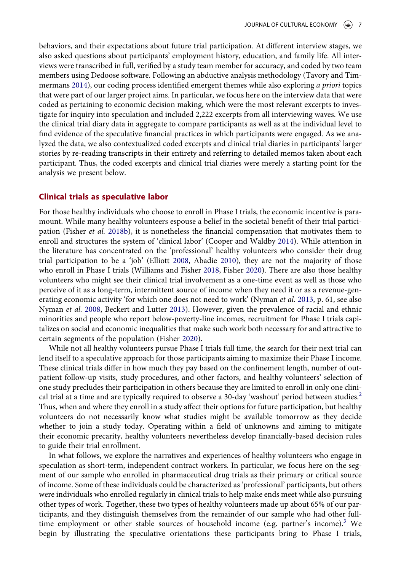<span id="page-6-5"></span>behaviors, and their expectations about future trial participation. At different interview stages, we also asked questions about participants' employment history, education, and family life. All interviews were transcribed in full, verified by a study team member for accuracy, and coded by two team members using Dedoose software. Following an abductive analysis methodology (Tavory and Tim-mermans [2014](#page-20-4)), our coding process identified emergent themes while also exploring a priori topics that were part of our larger project aims. In particular, we focus here on the interview data that were coded as pertaining to economic decision making, which were the most relevant excerpts to investigate for inquiry into speculation and included 2,222 excerpts from all interviewing waves. We use the clinical trial diary data in aggregate to compare participants as well as at the individual level to find evidence of the speculative financial practices in which participants were engaged. As we analyzed the data, we also contextualized coded excerpts and clinical trial diaries in participants' larger stories by re-reading transcripts in their entirety and referring to detailed memos taken about each participant. Thus, the coded excerpts and clinical trial diaries were merely a starting point for the analysis we present below.

## Clinical trials as speculative labor

<span id="page-6-6"></span><span id="page-6-3"></span><span id="page-6-2"></span><span id="page-6-1"></span>For those healthy individuals who choose to enroll in Phase I trials, the economic incentive is paramount. While many healthy volunteers espouse a belief in the societal benefit of their trial participation (Fisher et al. [2018b](#page-18-19)), it is nonetheless the financial compensation that motivates them to enroll and structures the system of 'clinical labor' (Cooper and Waldby [2014](#page-18-20)). While attention in the literature has concentrated on the 'professional' healthy volunteers who consider their drug trial participation to be a 'job' (Elliott [2008](#page-18-21), Abadie [2010](#page-17-0)), they are not the majority of those who enroll in Phase I trials (Williams and Fisher [2018,](#page-20-5) Fisher [2020\)](#page-18-17). There are also those healthy volunteers who might see their clinical trial involvement as a one-time event as well as those who perceive of it as a long-term, intermittent source of income when they need it or as a revenue-generating economic activity 'for which one does not need to work' (Nyman *et al.* [2013](#page-19-27), p. 61, see also Nyman et al. [2008,](#page-19-28) Beckert and Lutter [2013\)](#page-18-22). However, given the prevalence of racial and ethnic minorities and people who report below-poverty-line incomes, recruitment for Phase I trials capitalizes on social and economic inequalities that make such work both necessary for and attractive to certain segments of the population (Fisher [2020](#page-18-17)).

<span id="page-6-4"></span><span id="page-6-0"></span>While not all healthy volunteers pursue Phase I trials full time, the search for their next trial can lend itself to a speculative approach for those participants aiming to maximize their Phase I income. These clinical trials differ in how much they pay based on the confinement length, number of outpatient follow-up visits, study procedures, and other factors, and healthy volunteers' selection of one study precludes their participation in others because they are limited to enroll in only one clini-cal trial at a time and are typically required to observe a 30-day 'washout' period between studies.<sup>[2](#page-17-1)</sup> Thus, when and where they enroll in a study affect their options for future participation, but healthy volunteers do not necessarily know what studies might be available tomorrow as they decide whether to join a study today. Operating within a field of unknowns and aiming to mitigate their economic precarity, healthy volunteers nevertheless develop financially-based decision rules to guide their trial enrollment.

In what follows, we explore the narratives and experiences of healthy volunteers who engage in speculation as short-term, independent contract workers. In particular, we focus here on the segment of our sample who enrolled in pharmaceutical drug trials as their primary or critical source of income. Some of these individuals could be characterized as 'professional' participants, but others were individuals who enrolled regularly in clinical trials to help make ends meet while also pursuing other types of work. Together, these two types of healthy volunteers made up about 65% of our participants, and they distinguish themselves from the remainder of our sample who had other full-time employment or other stable sources of household income (e.g. partner's income).<sup>[3](#page-17-2)</sup> We begin by illustrating the speculative orientations these participants bring to Phase I trials,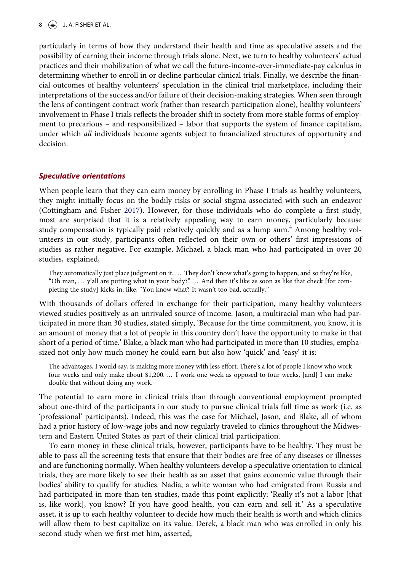## $\left(\frac{1}{2}\right)$  J. A. FISHER ET AL.

particularly in terms of how they understand their health and time as speculative assets and the possibility of earning their income through trials alone. Next, we turn to healthy volunteers' actual practices and their mobilization of what we call the future-income-over-immediate-pay calculus in determining whether to enroll in or decline particular clinical trials. Finally, we describe the financial outcomes of healthy volunteers' speculation in the clinical trial marketplace, including their interpretations of the success and/or failure of their decision-making strategies. When seen through the lens of contingent contract work (rather than research participation alone), healthy volunteers' involvement in Phase I trials reflects the broader shift in society from more stable forms of employment to precarious – and responsibilized – labor that supports the system of finance capitalism, under which *all* individuals become agents subject to financialized structures of opportunity and decision.

## Speculative orientations

<span id="page-7-0"></span>When people learn that they can earn money by enrolling in Phase I trials as healthy volunteers, they might initially focus on the bodily risks or social stigma associated with such an endeavor (Cottingham and Fisher [2017\)](#page-18-23). However, for those individuals who do complete a first study, most are surprised that it is a relatively appealing way to earn money, particularly because study compensation is typically paid relatively quickly and as a lump sum.<sup>[4](#page-17-3)</sup> Among healthy volunteers in our study, participants often reflected on their own or others' first impressions of studies as rather negative. For example, Michael, a black man who had participated in over 20 studies, explained,

They automatically just place judgment on it. … They don't know what's going to happen, and so they're like, "Oh man, … y'all are putting what in your body?" … And then it's like as soon as like that check [for completing the study] kicks in, like, "You know what? It wasn't too bad, actually."

With thousands of dollars offered in exchange for their participation, many healthy volunteers viewed studies positively as an unrivaled source of income. Jason, a multiracial man who had participated in more than 30 studies, stated simply, 'Because for the time commitment, you know, it is an amount of money that a lot of people in this country don't have the opportunity to make in that short of a period of time.' Blake, a black man who had participated in more than 10 studies, emphasized not only how much money he could earn but also how 'quick' and 'easy' it is:

The advantages, I would say, is making more money with less effort. There's a lot of people I know who work four weeks and only make about \$1,200. … I work one week as opposed to four weeks, [and] I can make double that without doing any work.

The potential to earn more in clinical trials than through conventional employment prompted about one-third of the participants in our study to pursue clinical trials full time as work (i.e. as 'professional' participants). Indeed, this was the case for Michael, Jason, and Blake, all of whom had a prior history of low-wage jobs and now regularly traveled to clinics throughout the Midwestern and Eastern United States as part of their clinical trial participation.

To earn money in these clinical trials, however, participants have to be healthy. They must be able to pass all the screening tests that ensure that their bodies are free of any diseases or illnesses and are functioning normally. When healthy volunteers develop a speculative orientation to clinical trials, they are more likely to see their health as an asset that gains economic value through their bodies' ability to qualify for studies. Nadia, a white woman who had emigrated from Russia and had participated in more than ten studies, made this point explicitly: 'Really it's not a labor [that is, like work], you know? If you have good health, you can earn and sell it.' As a speculative asset, it is up to each healthy volunteer to decide how much their health is worth and which clinics will allow them to best capitalize on its value. Derek, a black man who was enrolled in only his second study when we first met him, asserted,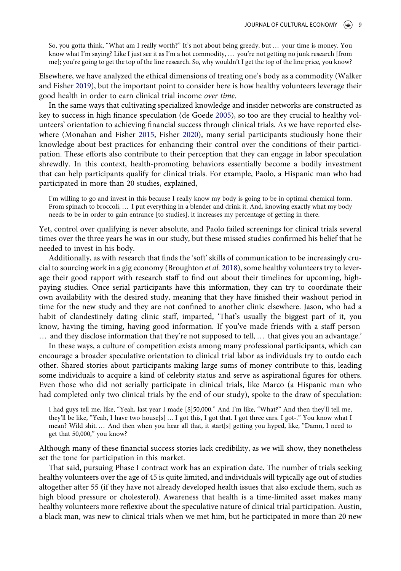So, you gotta think, "What am I really worth?" It's not about being greedy, but … your time is money. You know what I'm saying? Like I just see it as I'm a hot commodity, … you're not getting no junk research [from me]; you're going to get the top of the line research. So, why wouldn't I get the top of the line price, you know?

<span id="page-8-3"></span>Elsewhere, we have analyzed the ethical dimensions of treating one's body as a commodity (Walker and Fisher [2019](#page-20-6)), but the important point to consider here is how healthy volunteers leverage their good health in order to earn clinical trial income over time.

<span id="page-8-2"></span><span id="page-8-1"></span>In the same ways that cultivating specialized knowledge and insider networks are constructed as key to success in high finance speculation (de Goede [2005](#page-18-24)), so too are they crucial to healthy volunteers' orientation to achieving financial success through clinical trials. As we have reported elsewhere (Monahan and Fisher [2015,](#page-19-29) Fisher [2020](#page-18-17)), many serial participants studiously hone their knowledge about best practices for enhancing their control over the conditions of their participation. These efforts also contribute to their perception that they can engage in labor speculation shrewdly. In this context, health-promoting behaviors essentially become a bodily investment that can help participants qualify for clinical trials. For example, Paolo, a Hispanic man who had participated in more than 20 studies, explained,

I'm willing to go and invest in this because I really know my body is going to be in optimal chemical form. From spinach to broccoli, … I put everything in a blender and drink it. And, knowing exactly what my body needs to be in order to gain entrance [to studies], it increases my percentage of getting in there.

Yet, control over qualifying is never absolute, and Paolo failed screenings for clinical trials several times over the three years he was in our study, but these missed studies confirmed his belief that he needed to invest in his body.

<span id="page-8-0"></span>Additionally, as with research that finds the 'soft' skills of communication to be increasingly cru-cial to sourcing work in a gig economy (Broughton et al. [2018](#page-18-25)), some healthy volunteers try to leverage their good rapport with research staff to find out about their timelines for upcoming, highpaying studies. Once serial participants have this information, they can try to coordinate their own availability with the desired study, meaning that they have finished their washout period in time for the new study and they are not confined to another clinic elsewhere. Jason, who had a habit of clandestinely dating clinic staff, imparted, 'That's usually the biggest part of it, you know, having the timing, having good information. If you've made friends with a staff person … and they disclose information that they're not supposed to tell, … that gives you an advantage.'

In these ways, a culture of competition exists among many professional participants, which can encourage a broader speculative orientation to clinical trial labor as individuals try to outdo each other. Shared stories about participants making large sums of money contribute to this, leading some individuals to acquire a kind of celebrity status and serve as aspirational figures for others. Even those who did not serially participate in clinical trials, like Marco (a Hispanic man who had completed only two clinical trials by the end of our study), spoke to the draw of speculation:

I had guys tell me, like, "Yeah, last year I made [\$]50,000." And I'm like, "What?" And then they'll tell me, they'll be like, "Yeah, I have two house[s] … I got this, I got that. I got three cars. I got-." You know what I mean? Wild shit. … And then when you hear all that, it start[s] getting you hyped, like, "Damn, I need to get that 50,000," you know?

Although many of these financial success stories lack credibility, as we will show, they nonetheless set the tone for participation in this market.

That said, pursuing Phase I contract work has an expiration date. The number of trials seeking healthy volunteers over the age of 45 is quite limited, and individuals will typically age out of studies altogether after 55 (if they have not already developed health issues that also exclude them, such as high blood pressure or cholesterol). Awareness that health is a time-limited asset makes many healthy volunteers more reflexive about the speculative nature of clinical trial participation. Austin, a black man, was new to clinical trials when we met him, but he participated in more than 20 new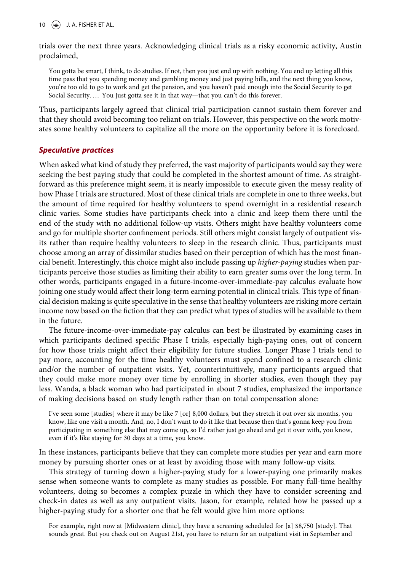$10 \quad \circledcirc$  J. A. FISHER ET AL.

trials over the next three years. Acknowledging clinical trials as a risky economic activity, Austin proclaimed,

You gotta be smart, I think, to do studies. If not, then you just end up with nothing. You end up letting all this time pass that you spending money and gambling money and just paying bills, and the next thing you know, you're too old to go to work and get the pension, and you haven't paid enough into the Social Security to get Social Security. … You just gotta see it in that way—that you can't do this forever.

Thus, participants largely agreed that clinical trial participation cannot sustain them forever and that they should avoid becoming too reliant on trials. However, this perspective on the work motivates some healthy volunteers to capitalize all the more on the opportunity before it is foreclosed.

## Speculative practices

When asked what kind of study they preferred, the vast majority of participants would say they were seeking the best paying study that could be completed in the shortest amount of time. As straightforward as this preference might seem, it is nearly impossible to execute given the messy reality of how Phase I trials are structured. Most of these clinical trials are complete in one to three weeks, but the amount of time required for healthy volunteers to spend overnight in a residential research clinic varies. Some studies have participants check into a clinic and keep them there until the end of the study with no additional follow-up visits. Others might have healthy volunteers come and go for multiple shorter confinement periods. Still others might consist largely of outpatient visits rather than require healthy volunteers to sleep in the research clinic. Thus, participants must choose among an array of dissimilar studies based on their perception of which has the most financial benefit. Interestingly, this choice might also include passing up higher-paying studies when participants perceive those studies as limiting their ability to earn greater sums over the long term. In other words, participants engaged in a future-income-over-immediate-pay calculus evaluate how joining one study would affect their long-term earning potential in clinical trials. This type of financial decision making is quite speculative in the sense that healthy volunteers are risking more certain income now based on the fiction that they can predict what types of studies will be available to them in the future.

The future-income-over-immediate-pay calculus can best be illustrated by examining cases in which participants declined specific Phase I trials, especially high-paying ones, out of concern for how those trials might affect their eligibility for future studies. Longer Phase I trials tend to pay more, accounting for the time healthy volunteers must spend confined to a research clinic and/or the number of outpatient visits. Yet, counterintuitively, many participants argued that they could make more money over time by enrolling in shorter studies, even though they pay less. Wanda, a black woman who had participated in about 7 studies, emphasized the importance of making decisions based on study length rather than on total compensation alone:

I've seen some [studies] where it may be like 7 [or] 8,000 dollars, but they stretch it out over six months, you know, like one visit a month. And, no, I don't want to do it like that because then that's gonna keep you from participating in something else that may come up, so I'd rather just go ahead and get it over with, you know, even if it's like staying for 30 days at a time, you know.

In these instances, participants believe that they can complete more studies per year and earn more money by pursuing shorter ones or at least by avoiding those with many follow-up visits.

This strategy of turning down a higher-paying study for a lower-paying one primarily makes sense when someone wants to complete as many studies as possible. For many full-time healthy volunteers, doing so becomes a complex puzzle in which they have to consider screening and check-in dates as well as any outpatient visits. Jason, for example, related how he passed up a higher-paying study for a shorter one that he felt would give him more options:

For example, right now at [Midwestern clinic], they have a screening scheduled for [a] \$8,750 [study]. That sounds great. But you check out on August 21st, you have to return for an outpatient visit in September and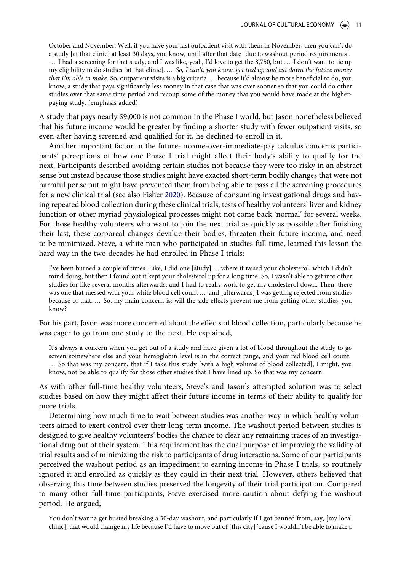October and November. Well, if you have your last outpatient visit with them in November, then you can't do a study [at that clinic] at least 30 days, you know, until after that date [due to washout period requirements]. … I had a screening for that study, and I was like, yeah, I'd love to get the 8,750, but … I don't want to tie up my eligibility to do studies [at that clinic]. … So, I can't, you know, get tied up and cut down the future money that I'm able to make. So, outpatient visits is a big criteria ... because it'd almost be more beneficial to do, you know, a study that pays significantly less money in that case that was over sooner so that you could do other studies over that same time period and recoup some of the money that you would have made at the higherpaying study. (emphasis added)

A study that pays nearly \$9,000 is not common in the Phase I world, but Jason nonetheless believed that his future income would be greater by finding a shorter study with fewer outpatient visits, so even after having screened and qualified for it, he declined to enroll in it.

Another important factor in the future-income-over-immediate-pay calculus concerns participants' perceptions of how one Phase I trial might affect their body's ability to qualify for the next. Participants described avoiding certain studies not because they were too risky in an abstract sense but instead because those studies might have exacted short-term bodily changes that were not harmful per se but might have prevented them from being able to pass all the screening procedures for a new clinical trial (see also Fisher [2020](#page-18-17)). Because of consuming investigational drugs and having repeated blood collection during these clinical trials, tests of healthy volunteers' liver and kidney function or other myriad physiological processes might not come back 'normal' for several weeks. For those healthy volunteers who want to join the next trial as quickly as possible after finishing their last, these corporeal changes devalue their bodies, threaten their future income, and need to be minimized. Steve, a white man who participated in studies full time, learned this lesson the hard way in the two decades he had enrolled in Phase I trials:

I've been burned a couple of times. Like, I did one [study] … where it raised your cholesterol, which I didn't mind doing, but then I found out it kept your cholesterol up for a long time. So, I wasn't able to get into other studies for like several months afterwards, and I had to really work to get my cholesterol down. Then, there was one that messed with your white blood cell count … and [afterwards] I was getting rejected from studies because of that. … So, my main concern is: will the side effects prevent me from getting other studies, you know?

For his part, Jason was more concerned about the effects of blood collection, particularly because he was eager to go from one study to the next. He explained,

It's always a concern when you get out of a study and have given a lot of blood throughout the study to go screen somewhere else and your hemoglobin level is in the correct range, and your red blood cell count. … So that was my concern, that if I take this study [with a high volume of blood collected], I might, you know, not be able to qualify for those other studies that I have lined up. So that was my concern.

As with other full-time healthy volunteers, Steve's and Jason's attempted solution was to select studies based on how they might affect their future income in terms of their ability to qualify for more trials.

Determining how much time to wait between studies was another way in which healthy volunteers aimed to exert control over their long-term income. The washout period between studies is designed to give healthy volunteers' bodies the chance to clear any remaining traces of an investigational drug out of their system. This requirement has the dual purpose of improving the validity of trial results and of minimizing the risk to participants of drug interactions. Some of our participants perceived the washout period as an impediment to earning income in Phase I trials, so routinely ignored it and enrolled as quickly as they could in their next trial. However, others believed that observing this time between studies preserved the longevity of their trial participation. Compared to many other full-time participants, Steve exercised more caution about defying the washout period. He argued,

You don't wanna get busted breaking a 30-day washout, and particularly if I got banned from, say, [my local clinic], that would change my life because I'd have to move out of [this city] 'cause I wouldn't be able to make a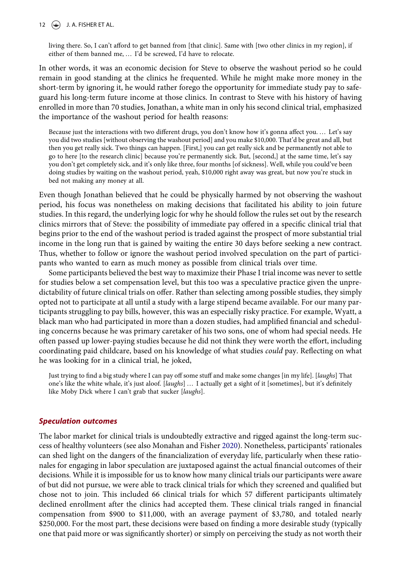## 12  $\left(\frac{1}{2}\right)$  J. A. FISHER ET AL.

living there. So, I can't afford to get banned from [that clinic]. Same with [two other clinics in my region], if either of them banned me, … I'd be screwed, I'd have to relocate.

In other words, it was an economic decision for Steve to observe the washout period so he could remain in good standing at the clinics he frequented. While he might make more money in the short-term by ignoring it, he would rather forego the opportunity for immediate study pay to safeguard his long-term future income at those clinics. In contrast to Steve with his history of having enrolled in more than 70 studies, Jonathan, a white man in only his second clinical trial, emphasized the importance of the washout period for health reasons:

Because just the interactions with two different drugs, you don't know how it's gonna affect you. … Let's say you did two studies [without observing the washout period] and you make \$10,000. That'd be great and all, but then you get really sick. Two things can happen. [First,] you can get really sick and be permanently not able to go to here [to the research clinic] because you're permanently sick. But, [second,] at the same time, let's say you don't get completely sick, and it's only like three, four months [of sickness]. Well, while you could've been doing studies by waiting on the washout period, yeah, \$10,000 right away was great, but now you're stuck in bed not making any money at all.

Even though Jonathan believed that he could be physically harmed by not observing the washout period, his focus was nonetheless on making decisions that facilitated his ability to join future studies. In this regard, the underlying logic for why he should follow the rules set out by the research clinics mirrors that of Steve: the possibility of immediate pay offered in a specific clinical trial that begins prior to the end of the washout period is traded against the prospect of more substantial trial income in the long run that is gained by waiting the entire 30 days before seeking a new contract. Thus, whether to follow or ignore the washout period involved speculation on the part of participants who wanted to earn as much money as possible from clinical trials over time.

Some participants believed the best way to maximize their Phase I trial income was never to settle for studies below a set compensation level, but this too was a speculative practice given the unpredictability of future clinical trials on offer. Rather than selecting among possible studies, they simply opted not to participate at all until a study with a large stipend became available. For our many participants struggling to pay bills, however, this was an especially risky practice. For example, Wyatt, a black man who had participated in more than a dozen studies, had amplified financial and scheduling concerns because he was primary caretaker of his two sons, one of whom had special needs. He often passed up lower-paying studies because he did not think they were worth the effort, including coordinating paid childcare, based on his knowledge of what studies could pay. Reflecting on what he was looking for in a clinical trial, he joked,

Just trying to find a big study where I can pay off some stuff and make some changes [in my life]. [laughs] That one's like the white whale, it's just aloof. [laughs] ... I actually get a sight of it [sometimes], but it's definitely like Moby Dick where I can't grab that sucker [laughs].

## Speculation outcomes

<span id="page-11-0"></span>The labor market for clinical trials is undoubtedly extractive and rigged against the long-term success of healthy volunteers (see also Monahan and Fisher [2020](#page-19-30)). Nonetheless, participants' rationales can shed light on the dangers of the financialization of everyday life, particularly when these rationales for engaging in labor speculation are juxtaposed against the actual financial outcomes of their decisions. While it is impossible for us to know how many clinical trials our participants were aware of but did not pursue, we were able to track clinical trials for which they screened and qualified but chose not to join. This included 66 clinical trials for which 57 different participants ultimately declined enrollment after the clinics had accepted them. These clinical trials ranged in financial compensation from \$900 to \$11,000, with an average payment of \$3,780, and totaled nearly \$250,000. For the most part, these decisions were based on finding a more desirable study (typically one that paid more or was significantly shorter) or simply on perceiving the study as not worth their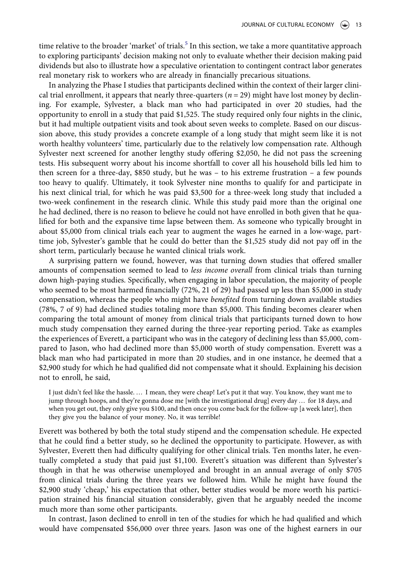time relative to the broader 'market' of trials.<sup>5</sup> In this section, we take a more quantitative approach to exploring participants' decision making not only to evaluate whether their decision making paid dividends but also to illustrate how a speculative orientation to contingent contract labor generates real monetary risk to workers who are already in financially precarious situations.

In analyzing the Phase I studies that participants declined within the context of their larger clinical trial enrollment, it appears that nearly three-quarters ( $n = 29$ ) might have lost money by declining. For example, Sylvester, a black man who had participated in over 20 studies, had the opportunity to enroll in a study that paid \$1,525. The study required only four nights in the clinic, but it had multiple outpatient visits and took about seven weeks to complete. Based on our discussion above, this study provides a concrete example of a long study that might seem like it is not worth healthy volunteers' time, particularly due to the relatively low compensation rate. Although Sylvester next screened for another lengthy study offering \$2,050, he did not pass the screening tests. His subsequent worry about his income shortfall to cover all his household bills led him to then screen for a three-day, \$850 study, but he was – to his extreme frustration – a few pounds too heavy to qualify. Ultimately, it took Sylvester nine months to qualify for and participate in his next clinical trial, for which he was paid \$3,500 for a three-week long study that included a two-week confinement in the research clinic. While this study paid more than the original one he had declined, there is no reason to believe he could not have enrolled in both given that he qualified for both and the expansive time lapse between them. As someone who typically brought in about \$5,000 from clinical trials each year to augment the wages he earned in a low-wage, parttime job, Sylvester's gamble that he could do better than the \$1,525 study did not pay off in the short term, particularly because he wanted clinical trials work.

A surprising pattern we found, however, was that turning down studies that offered smaller amounts of compensation seemed to lead to less income overall from clinical trials than turning down high-paying studies. Specifically, when engaging in labor speculation, the majority of people who seemed to be most harmed financially (72%, 21 of 29) had passed up less than \$5,000 in study compensation, whereas the people who might have *benefited* from turning down available studies (78%, 7 of 9) had declined studies totaling more than \$5,000. This finding becomes clearer when comparing the total amount of money from clinical trials that participants turned down to how much study compensation they earned during the three-year reporting period. Take as examples the experiences of Everett, a participant who was in the category of declining less than \$5,000, compared to Jason, who had declined more than \$5,000 worth of study compensation. Everett was a black man who had participated in more than 20 studies, and in one instance, he deemed that a \$2,900 study for which he had qualified did not compensate what it should. Explaining his decision not to enroll, he said,

I just didn't feel like the hassle. … I mean, they were cheap! Let's put it that way. You know, they want me to jump through hoops, and they're gonna dose me [with the investigational drug] every day … for 18 days, and when you get out, they only give you \$100, and then once you come back for the follow-up [a week later], then they give you the balance of your money. No, it was terrible!

Everett was bothered by both the total study stipend and the compensation schedule. He expected that he could find a better study, so he declined the opportunity to participate. However, as with Sylvester, Everett then had difficulty qualifying for other clinical trials. Ten months later, he eventually completed a study that paid just \$1,100. Everett's situation was different than Sylvester's though in that he was otherwise unemployed and brought in an annual average of only \$705 from clinical trials during the three years we followed him. While he might have found the \$2,900 study 'cheap,' his expectation that other, better studies would be more worth his participation strained his financial situation considerably, given that he arguably needed the income much more than some other participants.

In contrast, Jason declined to enroll in ten of the studies for which he had qualified and which would have compensated \$56,000 over three years. Jason was one of the highest earners in our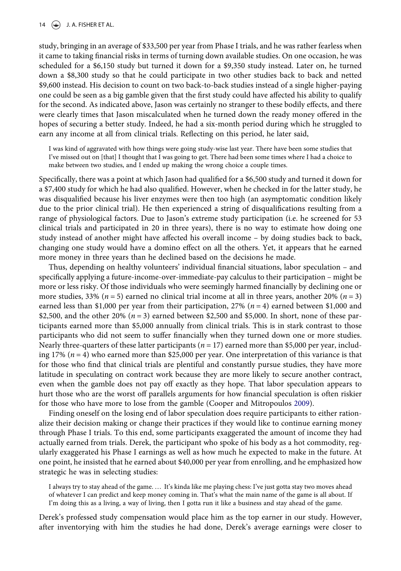study, bringing in an average of \$33,500 per year from Phase I trials, and he was rather fearless when it came to taking financial risks in terms of turning down available studies. On one occasion, he was scheduled for a \$6,150 study but turned it down for a \$9,350 study instead. Later on, he turned down a \$8,300 study so that he could participate in two other studies back to back and netted \$9,600 instead. His decision to count on two back-to-back studies instead of a single higher-paying one could be seen as a big gamble given that the first study could have affected his ability to qualify for the second. As indicated above, Jason was certainly no stranger to these bodily effects, and there were clearly times that Jason miscalculated when he turned down the ready money offered in the hopes of securing a better study. Indeed, he had a six-month period during which he struggled to earn any income at all from clinical trials. Reflecting on this period, he later said,

I was kind of aggravated with how things were going study-wise last year. There have been some studies that I've missed out on [that] I thought that I was going to get. There had been some times where I had a choice to make between two studies, and I ended up making the wrong choice a couple times.

Specifically, there was a point at which Jason had qualified for a \$6,500 study and turned it down for a \$7,400 study for which he had also qualified. However, when he checked in for the latter study, he was disqualified because his liver enzymes were then too high (an asymptomatic condition likely due to the prior clinical trial). He then experienced a string of disqualifications resulting from a range of physiological factors. Due to Jason's extreme study participation (i.e. he screened for 53 clinical trials and participated in 20 in three years), there is no way to estimate how doing one study instead of another might have affected his overall income – by doing studies back to back, changing one study would have a domino effect on all the others. Yet, it appears that he earned more money in three years than he declined based on the decisions he made.

Thus, depending on healthy volunteers' individual financial situations, labor speculation – and specifically applying a future-income-over-immediate-pay calculus to their participation – might be more or less risky. Of those individuals who were seemingly harmed financially by declining one or more studies, 33% ( $n = 5$ ) earned no clinical trial income at all in three years, another 20% ( $n = 3$ ) earned less than \$1,000 per year from their participation, 27% ( $n = 4$ ) earned between \$1,000 and \$2,500, and the other 20% ( $n = 3$ ) earned between \$2,500 and \$5,000. In short, none of these participants earned more than \$5,000 annually from clinical trials. This is in stark contrast to those participants who did not seem to suffer financially when they turned down one or more studies. Nearly three-quarters of these latter participants ( $n = 17$ ) earned more than \$5,000 per year, including 17%  $(n = 4)$  who earned more than \$25,000 per year. One interpretation of this variance is that for those who find that clinical trials are plentiful and constantly pursue studies, they have more latitude in speculating on contract work because they are more likely to secure another contract, even when the gamble does not pay off exactly as they hope. That labor speculation appears to hurt those who are the worst off parallels arguments for how financial speculation is often riskier for those who have more to lose from the gamble (Cooper and Mitropoulos [2009\)](#page-18-10).

Finding oneself on the losing end of labor speculation does require participants to either rationalize their decision making or change their practices if they would like to continue earning money through Phase I trials. To this end, some participants exaggerated the amount of income they had actually earned from trials. Derek, the participant who spoke of his body as a hot commodity, regularly exaggerated his Phase I earnings as well as how much he expected to make in the future. At one point, he insisted that he earned about \$40,000 per year from enrolling, and he emphasized how strategic he was in selecting studies:

I always try to stay ahead of the game. … It's kinda like me playing chess: I've just gotta stay two moves ahead of whatever I can predict and keep money coming in. That's what the main name of the game is all about. If I'm doing this as a living, a way of living, then I gotta run it like a business and stay ahead of the game.

Derek's professed study compensation would place him as the top earner in our study. However, after inventorying with him the studies he had done, Derek's average earnings were closer to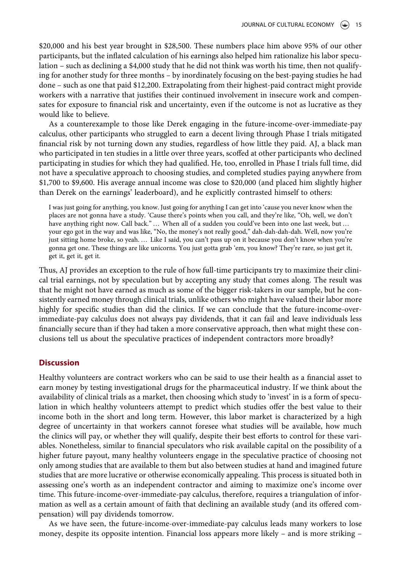\$20,000 and his best year brought in \$28,500. These numbers place him above 95% of our other participants, but the inflated calculation of his earnings also helped him rationalize his labor speculation – such as declining a \$4,000 study that he did not think was worth his time, then not qualifying for another study for three months – by inordinately focusing on the best-paying studies he had done – such as one that paid \$12,200. Extrapolating from their highest-paid contract might provide workers with a narrative that justifies their continued involvement in insecure work and compensates for exposure to financial risk and uncertainty, even if the outcome is not as lucrative as they would like to believe.

As a counterexample to those like Derek engaging in the future-income-over-immediate-pay calculus, other participants who struggled to earn a decent living through Phase I trials mitigated financial risk by not turning down any studies, regardless of how little they paid. AJ, a black man who participated in ten studies in a little over three years, scoffed at other participants who declined participating in studies for which they had qualified. He, too, enrolled in Phase I trials full time, did not have a speculative approach to choosing studies, and completed studies paying anywhere from \$1,700 to \$9,600. His average annual income was close to \$20,000 (and placed him slightly higher than Derek on the earnings' leaderboard), and he explicitly contrasted himself to others:

I was just going for anything, you know. Just going for anything I can get into 'cause you never know when the places are not gonna have a study. 'Cause there's points when you call, and they're like, "Oh, well, we don't have anything right now. Call back." … When all of a sudden you could've been into one last week, but … your ego got in the way and was like, "No, the money's not really good," dah-dah-dah-dah. Well, now you're just sitting home broke, so yeah. … Like I said, you can't pass up on it because you don't know when you're gonna get one. These things are like unicorns. You just gotta grab 'em, you know? They're rare, so just get it, get it, get it, get it.

Thus, AJ provides an exception to the rule of how full-time participants try to maximize their clinical trial earnings, not by speculation but by accepting any study that comes along. The result was that he might not have earned as much as some of the bigger risk-takers in our sample, but he consistently earned money through clinical trials, unlike others who might have valued their labor more highly for specific studies than did the clinics. If we can conclude that the future-income-overimmediate-pay calculus does not always pay dividends, that it can fail and leave individuals less financially secure than if they had taken a more conservative approach, then what might these conclusions tell us about the speculative practices of independent contractors more broadly?

## **Discussion**

Healthy volunteers are contract workers who can be said to use their health as a financial asset to earn money by testing investigational drugs for the pharmaceutical industry. If we think about the availability of clinical trials as a market, then choosing which study to 'invest' in is a form of speculation in which healthy volunteers attempt to predict which studies offer the best value to their income both in the short and long term. However, this labor market is characterized by a high degree of uncertainty in that workers cannot foresee what studies will be available, how much the clinics will pay, or whether they will qualify, despite their best efforts to control for these variables. Nonetheless, similar to financial speculators who risk available capital on the possibility of a higher future payout, many healthy volunteers engage in the speculative practice of choosing not only among studies that are available to them but also between studies at hand and imagined future studies that are more lucrative or otherwise economically appealing. This process is situated both in assessing one's worth as an independent contractor and aiming to maximize one's income over time. This future-income-over-immediate-pay calculus, therefore, requires a triangulation of information as well as a certain amount of faith that declining an available study (and its offered compensation) will pay dividends tomorrow.

As we have seen, the future-income-over-immediate-pay calculus leads many workers to lose money, despite its opposite intention. Financial loss appears more likely – and is more striking –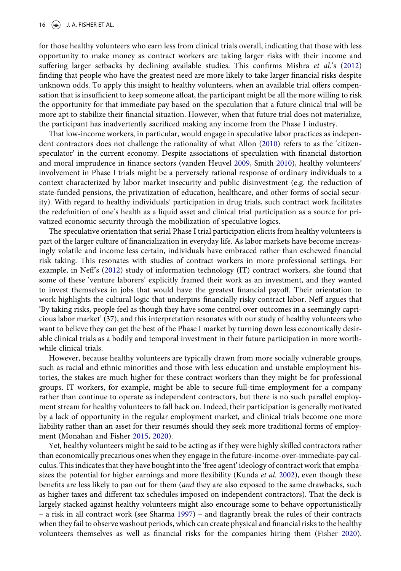for those healthy volunteers who earn less from clinical trials overall, indicating that those with less opportunity to make money as contract workers are taking larger risks with their income and suffering larger setbacks by declining available studies. This confirms Mishra et al.'s ([2012\)](#page-19-24) finding that people who have the greatest need are more likely to take larger financial risks despite unknown odds. To apply this insight to healthy volunteers, when an available trial offers compensation that is insufficient to keep someone afloat, the participant might be all the more willing to risk the opportunity for that immediate pay based on the speculation that a future clinical trial will be more apt to stabilize their financial situation. However, when that future trial does not materialize, the participant has inadvertently sacrificed making any income from the Phase I industry.

<span id="page-15-1"></span><span id="page-15-0"></span>That low-income workers, in particular, would engage in speculative labor practices as independent contractors does not challenge the rationality of what Allon [\(2010\)](#page-18-26) refers to as the 'citizenspeculator' in the current economy. Despite associations of speculation with financial distortion and moral imprudence in finance sectors (vanden Heuvel [2009](#page-20-7), Smith [2010](#page-19-31)), healthy volunteers' involvement in Phase I trials might be a perversely rational response of ordinary individuals to a context characterized by labor market insecurity and public disinvestment (e.g. the reduction of state-funded pensions, the privatization of education, healthcare, and other forms of social security). With regard to healthy individuals' participation in drug trials, such contract work facilitates the redefinition of one's health as a liquid asset and clinical trial participation as a source for privatized economic security through the mobilization of speculative logics.

The speculative orientation that serial Phase I trial participation elicits from healthy volunteers is part of the larger culture of financialization in everyday life. As labor markets have become increasingly volatile and income less certain, individuals have embraced rather than eschewed financial risk taking. This resonates with studies of contract workers in more professional settings. For example, in Neff's ([2012\)](#page-19-5) study of information technology (IT) contract workers, she found that some of these 'venture laborers' explicitly framed their work as an investment, and they wanted to invest themselves in jobs that would have the greatest financial payoff. Their orientation to work highlights the cultural logic that underpins financially risky contract labor. Neff argues that 'By taking risks, people feel as though they have some control over outcomes in a seemingly capricious labor market' (37), and this interpretation resonates with our study of healthy volunteers who want to believe they can get the best of the Phase I market by turning down less economically desirable clinical trials as a bodily and temporal investment in their future participation in more worthwhile clinical trials.

However, because healthy volunteers are typically drawn from more socially vulnerable groups, such as racial and ethnic minorities and those with less education and unstable employment histories, the stakes are much higher for these contract workers than they might be for professional groups. IT workers, for example, might be able to secure full-time employment for a company rather than continue to operate as independent contractors, but there is no such parallel employment stream for healthy volunteers to fall back on. Indeed, their participation is generally motivated by a lack of opportunity in the regular employment market, and clinical trials become one more liability rather than an asset for their resumés should they seek more traditional forms of employment (Monahan and Fisher [2015,](#page-19-29) [2020](#page-19-30)).

Yet, healthy volunteers might be said to be acting as if they were highly skilled contractors rather than economically precarious ones when they engage in the future-income-over-immediate-pay calculus. This indicates that they have bought into the 'free agent' ideology of contract work that emphasizes the potential for higher earnings and more flexibility (Kunda *et al.* [2002\)](#page-19-12), even though these benefits are less likely to pan out for them (and they are also exposed to the same drawbacks, such as higher taxes and different tax schedules imposed on independent contractors). That the deck is largely stacked against healthy volunteers might also encourage some to behave opportunistically – a risk in all contract work (see Sharma [1997](#page-19-14)) – and flagrantly break the rules of their contracts when they fail to observe washout periods, which can create physical and financial risks to the healthy volunteers themselves as well as financial risks for the companies hiring them (Fisher [2020](#page-18-17)).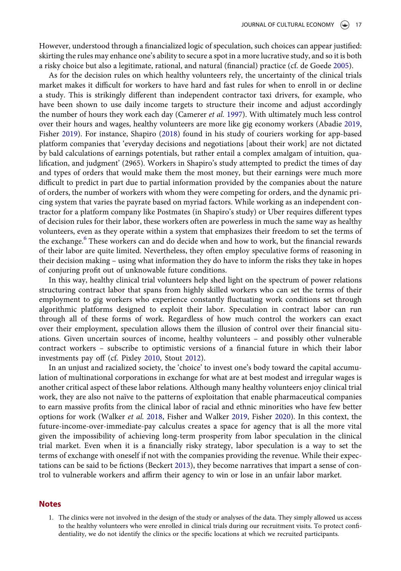However, understood through a financialized logic of speculation, such choices can appear justified: skirting the rules may enhance one's ability to secure a spot in a more lucrative study, and so it is both a risky choice but also a legitimate, rational, and natural (financial) practice (cf. de Goede [2005](#page-18-24)).

<span id="page-16-2"></span><span id="page-16-1"></span>As for the decision rules on which healthy volunteers rely, the uncertainty of the clinical trials market makes it difficult for workers to have hard and fast rules for when to enroll in or decline a study. This is strikingly different than independent contractor taxi drivers, for example, who have been shown to use daily income targets to structure their income and adjust accordingly the number of hours they work each day (Camerer et al. [1997](#page-18-12)). With ultimately much less control over their hours and wages, healthy volunteers are more like gig economy workers (Abadie [2019,](#page-18-27) Fisher [2019\)](#page-18-28). For instance, Shapiro [\(2018](#page-19-19)) found in his study of couriers working for app-based platform companies that 'everyday decisions and negotiations [about their work] are not dictated by bald calculations of earnings potentials, but rather entail a complex amalgam of intuition, qualification, and judgment' (2965). Workers in Shapiro's study attempted to predict the times of day and types of orders that would make them the most money, but their earnings were much more difficult to predict in part due to partial information provided by the companies about the nature of orders, the number of workers with whom they were competing for orders, and the dynamic pricing system that varies the payrate based on myriad factors. While working as an independent contractor for a platform company like Postmates (in Shapiro's study) or Uber requires different types of decision rules for their labor, these workers often are powerless in much the same way as healthy volunteers, even as they operate within a system that emphasizes their freedom to set the terms of the exchange.<sup>[6](#page-17-5)</sup> These workers can and do decide when and how to work, but the financial rewards of their labor are quite limited. Nevertheless, they often employ speculative forms of reasoning in their decision making – using what information they do have to inform the risks they take in hopes of conjuring profit out of unknowable future conditions.

In this way, healthy clinical trial volunteers help shed light on the spectrum of power relations structuring contract labor that spans from highly skilled workers who can set the terms of their employment to gig workers who experience constantly fluctuating work conditions set through algorithmic platforms designed to exploit their labor. Speculation in contract labor can run through all of these forms of work. Regardless of how much control the workers can exact over their employment, speculation allows them the illusion of control over their financial situations. Given uncertain sources of income, healthy volunteers – and possibly other vulnerable contract workers – subscribe to optimistic versions of a financial future in which their labor investments pay off (cf. Pixley [2010,](#page-19-21) Stout [2012](#page-19-23)).

<span id="page-16-3"></span>In an unjust and racialized society, the 'choice' to invest one's body toward the capital accumulation of multinational corporations in exchange for what are at best modest and irregular wages is another critical aspect of these labor relations. Although many healthy volunteers enjoy clinical trial work, they are also not naïve to the patterns of exploitation that enable pharmaceutical companies to earn massive profits from the clinical labor of racial and ethnic minorities who have few better options for work (Walker et al. [2018,](#page-20-8) Fisher and Walker [2019](#page-18-29), Fisher [2020\)](#page-18-17). In this context, the future-income-over-immediate-pay calculus creates a space for agency that is all the more vital given the impossibility of achieving long-term prosperity from labor speculation in the clinical trial market. Even when it is a financially risky strategy, labor speculation is a way to set the terms of exchange with oneself if not with the companies providing the revenue. While their expectations can be said to be fictions (Beckert [2013](#page-18-13)), they become narratives that impart a sense of control to vulnerable workers and affirm their agency to win or lose in an unfair labor market.

## <span id="page-16-0"></span>Notes

1. The clinics were not involved in the design of the study or analyses of the data. They simply allowed us access to the healthy volunteers who were enrolled in clinical trials during our recruitment visits. To protect confidentiality, we do not identify the clinics or the specific locations at which we recruited participants.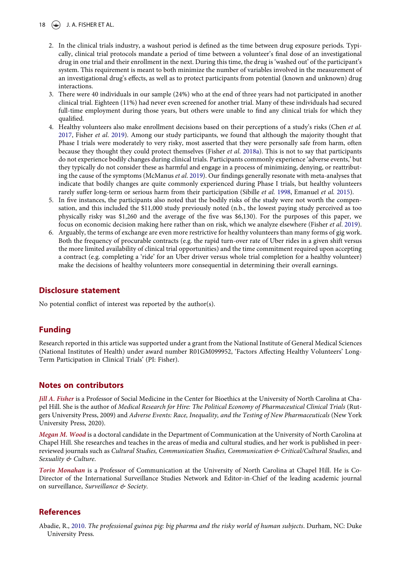18  $\left(\frac{1}{2}\right)$  J. A. FISHER ET AL.

- <span id="page-17-1"></span>2. In the clinical trials industry, a washout period is defined as the time between drug exposure periods. Typically, clinical trial protocols mandate a period of time between a volunteer's final dose of an investigational drug in one trial and their enrollment in the next. During this time, the drug is 'washed out' of the participant's system. This requirement is meant to both minimize the number of variables involved in the measurement of an investigational drug's effects, as well as to protect participants from potential (known and unknown) drug interactions.
- <span id="page-17-2"></span>3. There were 40 individuals in our sample (24%) who at the end of three years had not participated in another clinical trial. Eighteen (11%) had never even screened for another trial. Many of these individuals had secured full-time employment during those years, but others were unable to find any clinical trials for which they qualified.
- <span id="page-17-3"></span>4. Healthy volunteers also make enrollment decisions based on their perceptions of a study's risks (Chen et al. [2017](#page-18-30), Fisher et al. [2019](#page-18-28)). Among our study participants, we found that although the majority thought that Phase I trials were moderately to very risky, most asserted that they were personally safe from harm, often because they thought they could protect themselves (Fisher et al. [2018a\)](#page-18-16). This is not to say that participants do not experience bodily changes during clinical trials. Participants commonly experience 'adverse events,' but they typically do not consider these as harmful and engage in a process of minimizing, denying, or reattribut-ing the cause of the symptoms (McManus et al. [2019\)](#page-19-32). Our findings generally resonate with meta-analyses that indicate that bodily changes are quite commonly experienced during Phase I trials, but healthy volunteers rarely suffer long-term or serious harm from their participation (Sibille *et al.* [1998,](#page-19-33) Emanuel *et al.* [2015\)](#page-18-4).
- <span id="page-17-7"></span><span id="page-17-6"></span><span id="page-17-4"></span>5. In five instances, the participants also noted that the bodily risks of the study were not worth the compensation, and this included the \$11,000 study previously noted (n.b., the lowest paying study perceived as too physically risky was \$1,260 and the average of the five was \$6,130). For the purposes of this paper, we focus on economic decision making here rather than on risk, which we analyze elsewhere (Fisher et al. [2019](#page-18-28)).
- <span id="page-17-5"></span>6. Arguably, the terms of exchange are even more restrictive for healthy volunteers than many forms of gig work. Both the frequency of procurable contracts (e.g. the rapid turn-over rate of Uber rides in a given shift versus the more limited availability of clinical trial opportunities) and the time commitment required upon accepting a contract (e.g. completing a 'ride' for an Uber driver versus whole trial completion for a healthy volunteer) make the decisions of healthy volunteers more consequential in determining their overall earnings.

## Disclosure statement

No potential conflict of interest was reported by the author(s).

## Funding

Research reported in this article was supported under a grant from the National Institute of General Medical Sciences (National Institutes of Health) under award number R01GM099952, 'Factors Affecting Healthy Volunteers' Long-Term Participation in Clinical Trials' (PI: Fisher).

## Notes on contributors

Jill A. Fisher is a Professor of Social Medicine in the Center for Bioethics at the University of North Carolina at Chapel Hill. She is the author of Medical Research for Hire: The Political Economy of Pharmaceutical Clinical Trials (Rutgers University Press, 2009) and Adverse Events: Race, Inequality, and the Testing of New Pharmaceuticals (New York University Press, 2020).

Megan M. Wood is a doctoral candidate in the Department of Communication at the University of North Carolina at Chapel Hill. She researches and teaches in the areas of media and cultural studies, and her work is published in peerreviewed journals such as Cultural Studies, Communication Studies, Communication & Critical/Cultural Studies, and Sexuality & Culture.

Torin Monahan is a Professor of Communication at the University of North Carolina at Chapel Hill. He is Co-Director of the International Surveillance Studies Network and Editor-in-Chief of the leading academic journal on surveillance, Surveillance & Society.

## References

<span id="page-17-0"></span>Abadie, R., [2010](#page-1-0). The professional guinea pig: big pharma and the risky world of human subjects. Durham, NC: Duke University Press.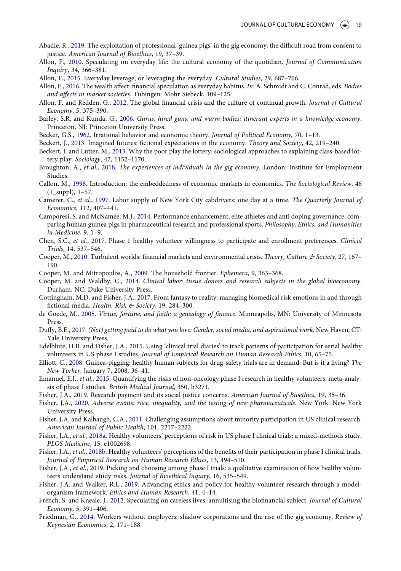- <span id="page-18-27"></span>Abadie, R., [2019.](#page-16-1) The exploitation of professional 'guinea pigs' in the gig economy: the difficult road from consent to justice. American Journal of Bioethics, 19, 37–39.
- <span id="page-18-26"></span>Allon, F., [2010.](#page-15-0) Speculating on everyday life: the cultural economy of the quotidian. Journal of Communication Inquiry, 34, 366–381.
- <span id="page-18-6"></span><span id="page-18-1"></span>Allon, F., [2015.](#page-0-0) Everyday leverage, or leveraging the everyday. Cultural Studies, 29, 687–706.
- Allon, F., [2016](#page-1-1). The wealth affect: financial speculation as everyday habitus. In: A. Schmidt and C. Conrad, eds. Bodies and affects in market societies. Tubingen: Mohr Siebeck, 109–125.
- <span id="page-18-8"></span>Allon, F. and Redden, G., [2012.](#page-2-0) The global financial crisis and the culture of continual growth. Journal of Cultural Economy, 5, 375–390.
- <span id="page-18-7"></span>Barley, S.R. and Kunda, G., [2006.](#page-2-1) Gurus, hired guns, and warm bodies: itinerant experts in a knowledge economy. Princeton, NJ: Princeton University Press.
- <span id="page-18-15"></span><span id="page-18-13"></span>Becker, G.S., [1962](#page-3-0). Irrational behavior and economic theory. Journal of Political Economy, 70, 1–13.
- <span id="page-18-22"></span>Beckert, J., [2013.](#page-3-1) Imagined futures: fictional expectations in the economy. Theory and Society, 42, 219–240.
- Beckert, J. and Lutter, M., [2013](#page-6-0). Why the poor play the lottery: sociological approaches to explaining class-based lottery play. Sociology, 47, 1152–1170.
- <span id="page-18-25"></span>Broughton, A., et al., [2018.](#page-8-0) The experiences of individuals in the gig economy. London: Institute for Employment Studies.
- <span id="page-18-5"></span>Callon, M., [1998.](#page-1-2) Introduction: the embeddedness of economic markets in economics. The Sociological Review, 46 (1\_suppl), 1–57.
- <span id="page-18-12"></span>Camerer, C., et al., [1997](#page-3-2). Labor supply of New York City cabdrivers: one day at a time. The Quarterly Journal of Economics, 112, 407–441.
- <span id="page-18-2"></span>Camporesi, S. and McNamee, M.J., [2014](#page-1-3). Performance enhancement, elite athletes and anti doping governance: comparing human guinea pigs in pharmaceutical research and professional sports. Philosophy, Ethics, and Humanities in Medicine, 9, 1–9.
- <span id="page-18-30"></span>Chen, S.C., et al., [2017.](#page-17-3) Phase 1 healthy volunteer willingness to participate and enrollment preferences. Clinical Trials, 14, 537–546.
- <span id="page-18-14"></span>Cooper, M., [2010](#page-3-3). Turbulent worlds: financial markets and environmental crisis. Theory, Culture & Society, 27, 167-190.
- <span id="page-18-20"></span><span id="page-18-10"></span>Cooper, M. and Mitropoulos, A., [2009](#page-2-2). The household frontier. Ephemera, 9, 363–368.
- Cooper, M. and Waldby, C., [2014.](#page-6-1) Clinical labor: tissue donors and research subjects in the global bioeconomy. Durham, NC: Duke University Press.
- <span id="page-18-23"></span>Cottingham, M.D. and Fisher, J.A., [2017](#page-7-0). From fantasy to reality: managing biomedical risk emotions in and through fictional media. Health, Risk & Society, 19, 284-300.
- <span id="page-18-24"></span>de Goede, M., [2005](#page-8-1). Virtue, fortune, and faith: a genealogy of finance. Minneapolis, MN: University of Minnesota Press.
- <span id="page-18-0"></span>Duffy, B.E., [2017.](#page-0-1) (Not) getting paid to do what you love: Gender, social media, and aspirational work. New Haven, CT: Yale University Press.
- <span id="page-18-3"></span>Edelblute, H.B. and Fisher, J.A., [2015](#page-1-4). Using 'clinical trial diaries' to track patterns of participation for serial healthy volunteers in US phase I studies. Journal of Empirical Research on Human Research Ethics, 10, 65–75.
- <span id="page-18-21"></span>Elliott, C., [2008](#page-6-2). Guinea-pigging: healthy human subjects for drug-safety trials are in demand. But is it a living? The New Yorker, January 7, 2008, 36–41.
- <span id="page-18-4"></span>Emanuel, E.J., et al., [2015](#page-1-5). Quantifying the risks of non-oncology phase I research in healthy volunteers: meta-analysis of phase I studies. British Medical Journal, 350, h3271.
- <span id="page-18-28"></span><span id="page-18-17"></span>Fisher, J.A., [2019](#page-16-2). Research payment and its social justice concerns. American Journal of Bioethics, 19, 35–36.
- Fisher, J.A., [2020](#page-4-0). Adverse events: race, inequality, and the testing of new pharmaceuticals. New York: New York University Press.
- <span id="page-18-18"></span>Fisher, J.A. and Kalbaugh, C.A., [2011.](#page-4-1) Challenging assumptions about minority participation in US clinical research. American Journal of Public Health, 101, 2217–2222.
- <span id="page-18-16"></span>Fisher, J.A., et al., [2018a.](#page-3-4) Healthy volunteers' perceptions of risk in US phase I clinical trials: a mixed-methods study. PLOS Medicine, 15, e1002698.
- <span id="page-18-19"></span>Fisher, J.A., et al., [2018b.](#page-6-3) Healthy volunteers' perceptions of the benefits of their participation in phase I clinical trials. Journal of Empirical Research on Human Research Ethics, 13, 494–510.
- Fisher, J.A., et al., 2019. Picking and choosing among phase I trials: a qualitative examination of how healthy volunteers understand study risks. Journal of Bioethical Inquiry, 16, 535–549.
- <span id="page-18-29"></span>Fisher, J.A. and Walker, R.L., [2019.](#page-16-3) Advancing ethics and policy for healthy-volunteer research through a modelorganism framework. Ethics and Human Research, 41, 4–14.
- <span id="page-18-9"></span>French, S. and Kneale, J., [2012](#page-2-3). Speculating on careless lives: annuitising the biofinancial subject. *Journal of Cultural* Economy, 5, 391–406.
- <span id="page-18-11"></span>Friedman, G., [2014.](#page-3-5) Workers without employers: shadow corporations and the rise of the gig economy. Review of Keynesian Economics, 2, 171–188.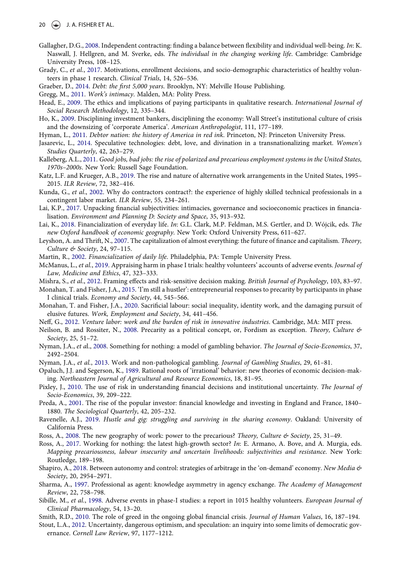- <span id="page-19-13"></span>Gallagher, D.G., [2008](#page-2-4). Independent contracting: finding a balance between flexibility and individual well-being. In: K. Naswall, J. Hellgren, and M. Sverke, eds. The individual in the changing working life. Cambridge: Cambridge University Press, 108–125.
- <span id="page-19-26"></span>Grady, C., et al., [2017.](#page-4-1) Motivations, enrollment decisions, and socio-demographic characteristics of healthy volunteers in phase 1 research. Clinical Trials, 14, 526–536.
- <span id="page-19-10"></span><span id="page-19-4"></span>Graeber, D., [2014](#page-0-2). Debt: the first 5,000 years. Brooklyn, NY: Melville House Publishing.
- <span id="page-19-25"></span>Gregg, M., [2011.](#page-2-5) Work's intimacy. Malden, MA: Polity Press.
- Head, E., [2009.](#page-4-2) The ethics and implications of paying participants in qualitative research. International Journal of Social Research Methodology, 12, 335–344.
- <span id="page-19-1"></span>Ho, K., [2009](#page-0-3). Disciplining investment bankers, disciplining the economy: Wall Street's institutional culture of crisis and the downsizing of 'corporate America'. American Anthropologist, 111, 177–189.
- <span id="page-19-22"></span><span id="page-19-6"></span>Hyman, L., [2011.](#page-0-4) Debtor nation: the history of America in red ink. Princeton, NJ: Princeton University Press.
- Jasarevic, L., [2014](#page-3-6). Speculative technologies: debt, love, and divination in a transnationalizing market. Women's Studies Quarterly, 42, 263–279.
- <span id="page-19-8"></span>Kalleberg, A.L., [2011](#page-2-6). Good jobs, bad jobs: the rise of polarized and precarious employment systems in the United States, 1970s–2000s. New York: Russell Sage Foundation.
- <span id="page-19-11"></span>Katz, L.F. and Krueger, A.B., [2019](#page-2-5). The rise and nature of alternative work arrangements in the United States, 1995– 2015. ILR Review, 72, 382–416.
- <span id="page-19-12"></span>Kunda, G., et al., [2002](#page-2-4). Why do contractors contract?: the experience of highly skilled technical professionals in a contingent labor market. ILR Review, 55, 234–261.
- <span id="page-19-17"></span>Lai, K.P., [2017](#page-2-7). Unpacking financial subjectivities: intimacies, governance and socioeconomic practices in financialisation. Environment and Planning D: Society and Space, 35, 913–932.
- <span id="page-19-16"></span>Lai, K., [2018](#page-2-8). Financialization of everyday life. In: G.L. Clark, M.P. Feldman, M.S. Gertler, and D. Wójcik, eds. The new Oxford handbook of economic geography. New York: Oxford University Press, 611–627.
- <span id="page-19-15"></span>Leyshon, A. and Thrift, N., [2007.](#page-2-9) The capitalization of almost everything: the future of finance and capitalism. Theory, Culture & Society, 24, 97–115.
- <span id="page-19-32"></span><span id="page-19-2"></span>Martin, R., [2002](#page-0-5). Financialization of daily life. Philadelphia, PA: Temple University Press.
- McManus, L., et al., [2019](#page-17-6). Appraising harm in phase I trials: healthy volunteers' accounts of adverse events. Journal of Law, Medicine and Ethics, 47, 323–333.
- <span id="page-19-29"></span><span id="page-19-24"></span>Mishra, S., et al., [2012](#page-3-7). Framing effects and risk-sensitive decision making. British Journal of Psychology, 103, 83–97.
- Monahan, T. and Fisher, J.A., [2015](#page-8-2). 'I'm still a hustler': entrepreneurial responses to precarity by participants in phase I clinical trials. Economy and Society, 44, 545–566.
- <span id="page-19-30"></span>Monahan, T. and Fisher, J.A., [2020](#page-11-0). Sacrificial labour: social inequality, identity work, and the damaging pursuit of elusive futures. Work, Employment and Society, 34, 441–456.
- <span id="page-19-7"></span><span id="page-19-5"></span>Neff, G., [2012.](#page-0-1) Venture labor: work and the burden of risk in innovative industries. Cambridge, MA: MIT press.
- Neilson, B. and Rossiter, N., [2008](#page-2-6). Precarity as a political concept, or, Fordism as exception. Theory, Culture & Society, 25, 51–72.
- <span id="page-19-28"></span>Nyman, J.A., et al., [2008](#page-6-0). Something for nothing: a model of gambling behavior. The Journal of Socio-Economics, 37, 2492–2504.
- <span id="page-19-27"></span><span id="page-19-20"></span>Nyman, J.A., et al., [2013.](#page-6-4) Work and non-pathological gambling. Journal of Gambling Studies, 29, 61–81.
- Opaluch, J.J. and Segerson, K., [1989.](#page-3-8) Rational roots of 'irrational' behavior: new theories of economic decision-making. Northeastern Journal of Agricultural and Resource Economics, 18, 81–95.
- <span id="page-19-21"></span>Pixley, J., [2010.](#page-3-6) The use of risk in understanding financial decisions and institutional uncertainty. The Journal of Socio-Economics, 39, 209–222.
- <span id="page-19-0"></span>Preda, A., [2001.](#page-0-3) The rise of the popular investor: financial knowledge and investing in England and France, 1840– 1880. The Sociological Quarterly, 42, 205–232.
- <span id="page-19-18"></span>Ravenelle, A.J., [2019](#page-3-9). Hustle and gig: struggling and surviving in the sharing economy. Oakland: University of California Press.
- <span id="page-19-9"></span><span id="page-19-3"></span>Ross, A., [2008.](#page-0-5) The new geography of work: power to the precarious? Theory, Culture & Society, 25, 31–49.
- Ross, A., [2017.](#page-2-6) Working for nothing: the latest high-growth sector? In: E. Armano, A. Bove, and A. Murgia, eds. Mapping precariousness, labour insecurity and uncertain livelihoods: subjectivities and resistance. New York: Routledge, 189–198.
- <span id="page-19-19"></span>Shapiro, A., [2018](#page-3-2). Between autonomy and control: strategies of arbitrage in the 'on-demand' economy. New Media & Society, 20, 2954–2971.
- <span id="page-19-14"></span>Sharma, A., [1997.](#page-2-10) Professional as agent: knowledge asymmetry in agency exchange. The Academy of Management Review, 22, 758–798.
- <span id="page-19-33"></span>Sibille, M., et al., [1998](#page-17-7). Adverse events in phase-I studies: a report in 1015 healthy volunteers. European Journal of Clinical Pharmacology, 54, 13–20.
- <span id="page-19-31"></span><span id="page-19-23"></span>Smith, R.D., [2010](#page-15-1). The role of greed in the ongoing global financial crisis. Journal of Human Values, 16, 187–194.
- Stout, L.A., [2012.](#page-3-10) Uncertainty, dangerous optimism, and speculation: an inquiry into some limits of democratic governance. Cornell Law Review, 97, 1177–1212.